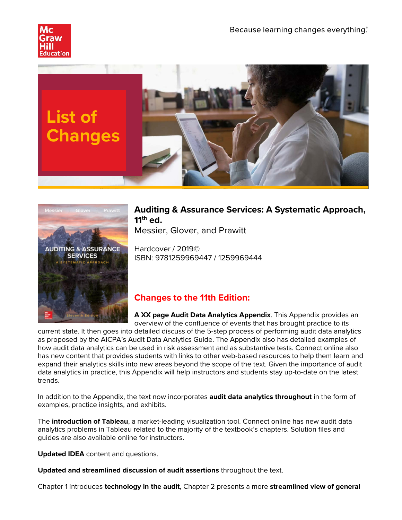





# **Auditing & Assurance Services: A Systematic Approach, 11th ed.**

Messier, Glover, and Prawitt

Hardcover / 2019© ISBN: 9781259969447 / 1259969444

# **Changes to the 11th Edition:**

**A XX page Audit Data Analytics Appendix**. This Appendix provides an overview of the confluence of events that has brought practice to its

current state. It then goes into detailed discuss of the 5-step process of performing audit data analytics as proposed by the AICPA's Audit Data Analytics Guide. The Appendix also has detailed examples of how audit data analytics can be used in risk assessment and as substantive tests. Connect online also has new content that provides students with links to other web-based resources to help them learn and expand their analytics skills into new areas beyond the scope of the text. Given the importance of audit data analytics in practice, this Appendix will help instructors and students stay up-to-date on the latest trends.

In addition to the Appendix, the text now incorporates **audit data analytics throughout** in the form of examples, practice insights, and exhibits.

The **introduction of Tableau**, a market-leading visualization tool. Connect online has new audit data analytics problems in Tableau related to the majority of the textbook's chapters. Solution files and guides are also available online for instructors.

**Updated IDEA** content and questions.

**Updated and streamlined discussion of audit assertions** throughout the text.

Chapter 1 introduces **technology in the audit**, Chapter 2 presents a more **streamlined view of general**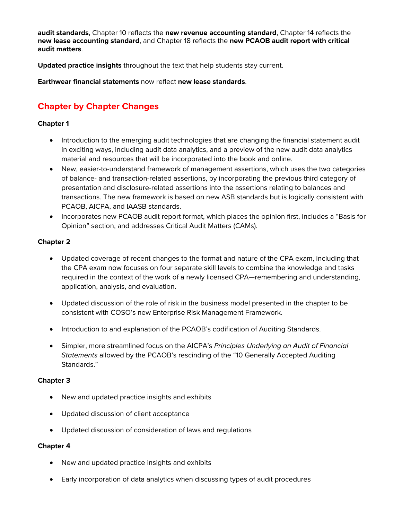**audit standards**, Chapter 10 reflects the **new revenue accounting standard**, Chapter 14 reflects the **new lease accounting standard**, and Chapter 18 reflects the **new PCAOB audit report with critical audit matters**.

**Updated practice insights** throughout the text that help students stay current.

**Earthwear financial statements** now reflect **new lease standards**.

# **Chapter by Chapter Changes**

# **Chapter 1**

- Introduction to the emerging audit technologies that are changing the financial statement audit in exciting ways, including audit data analytics, and a preview of the new audit data analytics material and resources that will be incorporated into the book and online.
- New, easier-to-understand framework of management assertions, which uses the two categories of balance- and transaction-related assertions, by incorporating the previous third category of presentation and disclosure-related assertions into the assertions relating to balances and transactions. The new framework is based on new ASB standards but is logically consistent with PCAOB, AICPA, and IAASB standards.
- Incorporates new PCAOB audit report format, which places the opinion first, includes a "Basis for Opinion" section, and addresses Critical Audit Matters (CAMs).

# **Chapter 2**

- Updated coverage of recent changes to the format and nature of the CPA exam, including that the CPA exam now focuses on four separate skill levels to combine the knowledge and tasks required in the context of the work of a newly licensed CPA—remembering and understanding, application, analysis, and evaluation.
- Updated discussion of the role of risk in the business model presented in the chapter to be consistent with COSO's new Enterprise Risk Management Framework.
- Introduction to and explanation of the PCAOB's codification of Auditing Standards.
- Simpler, more streamlined focus on the AICPA's *Principles Underlying an Audit of Financial Statements* allowed by the PCAOB's rescinding of the "10 Generally Accepted Auditing Standards."

## **Chapter 3**

- New and updated practice insights and exhibits
- Updated discussion of client acceptance
- Updated discussion of consideration of laws and regulations

- New and updated practice insights and exhibits
- Early incorporation of data analytics when discussing types of audit procedures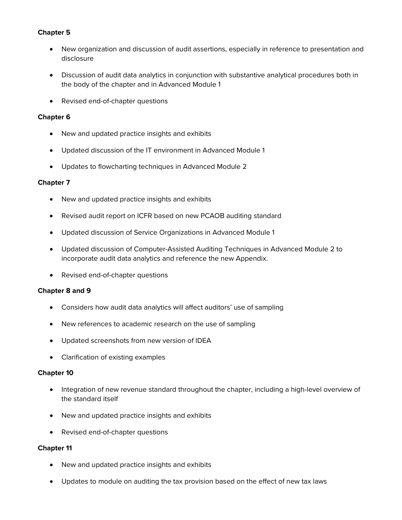# **Chapter 5**

- New organization and discussion of audit assertions, especially in reference to presentation and disclosure
- Discussion of audit data analytics in conjunction with substantive analytical procedures both in the body of the chapter and in Advanced Module 1
- Revised end-of-chapter questions

## **Chapter 6**

- New and updated practice insights and exhibits
- Updated discussion of the IT environment in Advanced Module 1
- Updates to flowcharting techniques in Advanced Module 2

## **Chapter 7**

- New and updated practice insights and exhibits
- Revised audit report on ICFR based on new PCAOB auditing standard
- Updated discussion of Service Organizations in Advanced Module 1
- Updated discussion of Computer-Assisted Auditing Techniques in Advanced Module 2 to incorporate audit data analytics and reference the new Appendix.
- Revised end-of-chapter questions

## **Chapter 8 and 9**

- Considers how audit data analytics will affect auditors' use of sampling
- New references to academic research on the use of sampling
- Updated screenshots from new version of IDEA
- Clarification of existing examples

## **Chapter 10**

- Integration of new revenue standard throughout the chapter, including a high-level overview of the standard itself
- New and updated practice insights and exhibits
- Revised end-of-chapter questions

- New and updated practice insights and exhibits
- Updates to module on auditing the tax provision based on the effect of new tax laws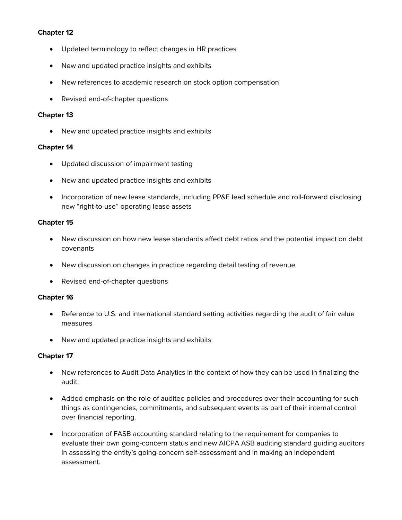# **Chapter 12**

- Updated terminology to reflect changes in HR practices
- New and updated practice insights and exhibits
- New references to academic research on stock option compensation
- Revised end-of-chapter questions

## **Chapter 13**

• New and updated practice insights and exhibits

# **Chapter 14**

- Updated discussion of impairment testing
- New and updated practice insights and exhibits
- Incorporation of new lease standards, including PP&E lead schedule and roll-forward disclosing new "right-to-use" operating lease assets

# **Chapter 15**

- New discussion on how new lease standards affect debt ratios and the potential impact on debt covenants
- New discussion on changes in practice regarding detail testing of revenue
- Revised end-of-chapter questions

## **Chapter 16**

- Reference to U.S. and international standard setting activities regarding the audit of fair value measures
- New and updated practice insights and exhibits

- New references to Audit Data Analytics in the context of how they can be used in finalizing the audit.
- Added emphasis on the role of auditee policies and procedures over their accounting for such things as contingencies, commitments, and subsequent events as part of their internal control over financial reporting.
- Incorporation of FASB accounting standard relating to the requirement for companies to evaluate their own going-concern status and new AICPA ASB auditing standard guiding auditors in assessing the entity's going-concern self-assessment and in making an independent assessment.